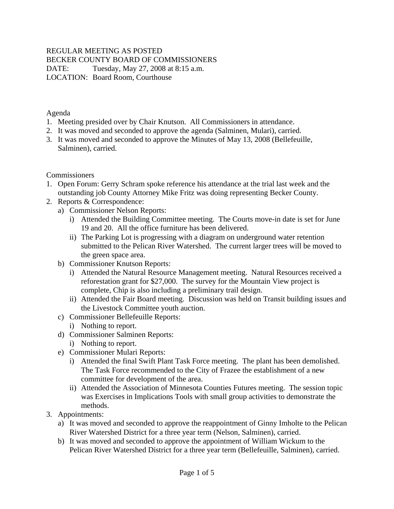#### REGULAR MEETING AS POSTED BECKER COUNTY BOARD OF COMMISSIONERS DATE: Tuesday, May 27, 2008 at 8:15 a.m. LOCATION: Board Room, Courthouse

Agenda

- 1. Meeting presided over by Chair Knutson. All Commissioners in attendance.
- 2. It was moved and seconded to approve the agenda (Salminen, Mulari), carried.
- 3. It was moved and seconded to approve the Minutes of May 13, 2008 (Bellefeuille, Salminen), carried.

**Commissioners** 

- 1. Open Forum: Gerry Schram spoke reference his attendance at the trial last week and the outstanding job County Attorney Mike Fritz was doing representing Becker County.
- 2. Reports & Correspondence:
	- a) Commissioner Nelson Reports:
		- i) Attended the Building Committee meeting. The Courts move-in date is set for June 19 and 20. All the office furniture has been delivered.
		- ii) The Parking Lot is progressing with a diagram on underground water retention submitted to the Pelican River Watershed. The current larger trees will be moved to the green space area.
	- b) Commissioner Knutson Reports:
		- i) Attended the Natural Resource Management meeting. Natural Resources received a reforestation grant for \$27,000. The survey for the Mountain View project is complete, Chip is also including a preliminary trail design.
		- ii) Attended the Fair Board meeting. Discussion was held on Transit building issues and the Livestock Committee youth auction.
	- c) Commissioner Bellefeuille Reports:
		- i) Nothing to report.
	- d) Commissioner Salminen Reports:
		- i) Nothing to report.
	- e) Commissioner Mulari Reports:
		- i) Attended the final Swift Plant Task Force meeting. The plant has been demolished. The Task Force recommended to the City of Frazee the establishment of a new committee for development of the area.
		- ii) Attended the Association of Minnesota Counties Futures meeting. The session topic was Exercises in Implications Tools with small group activities to demonstrate the methods.
- 3. Appointments:
	- a) It was moved and seconded to approve the reappointment of Ginny Imholte to the Pelican River Watershed District for a three year term (Nelson, Salminen), carried.
	- b) It was moved and seconded to approve the appointment of William Wickum to the Pelican River Watershed District for a three year term (Bellefeuille, Salminen), carried.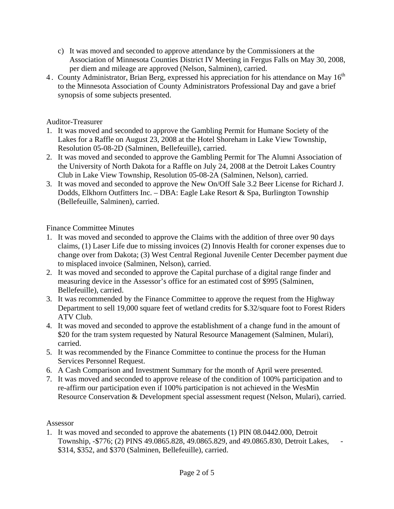- c) It was moved and seconded to approve attendance by the Commissioners at the Association of Minnesota Counties District IV Meeting in Fergus Falls on May 30, 2008, per diem and mileage are approved (Nelson, Salminen), carried.
- 4. County Administrator, Brian Berg, expressed his appreciation for his attendance on May 16<sup>th</sup> to the Minnesota Association of County Administrators Professional Day and gave a brief synopsis of some subjects presented.

## Auditor-Treasurer

- 1. It was moved and seconded to approve the Gambling Permit for Humane Society of the Lakes for a Raffle on August 23, 2008 at the Hotel Shoreham in Lake View Township, Resolution 05-08-2D (Salminen, Bellefeuille), carried.
- 2. It was moved and seconded to approve the Gambling Permit for The Alumni Association of the University of North Dakota for a Raffle on July 24, 2008 at the Detroit Lakes Country Club in Lake View Township, Resolution 05-08-2A (Salminen, Nelson), carried.
- 3. It was moved and seconded to approve the New On/Off Sale 3.2 Beer License for Richard J. Dodds, Elkhorn Outfitters Inc. – DBA: Eagle Lake Resort & Spa, Burlington Township (Bellefeuille, Salminen), carried.

# Finance Committee Minutes

- 1. It was moved and seconded to approve the Claims with the addition of three over 90 days claims, (1) Laser Life due to missing invoices (2) Innovis Health for coroner expenses due to change over from Dakota; (3) West Central Regional Juvenile Center December payment due to misplaced invoice (Salminen, Nelson), carried.
- 2. It was moved and seconded to approve the Capital purchase of a digital range finder and measuring device in the Assessor's office for an estimated cost of \$995 (Salminen, Bellefeuille), carried.
- 3. It was recommended by the Finance Committee to approve the request from the Highway Department to sell 19,000 square feet of wetland credits for \$.32/square foot to Forest Riders ATV Club.
- 4. It was moved and seconded to approve the establishment of a change fund in the amount of \$20 for the tram system requested by Natural Resource Management (Salminen, Mulari), carried.
- 5. It was recommended by the Finance Committee to continue the process for the Human Services Personnel Request.
- 6. A Cash Comparison and Investment Summary for the month of April were presented.
- 7. It was moved and seconded to approve release of the condition of 100% participation and to re-affirm our participation even if 100% participation is not achieved in the WesMin Resource Conservation & Development special assessment request (Nelson, Mulari), carried.

#### Assessor

1. It was moved and seconded to approve the abatements (1) PIN 08.0442.000, Detroit Township, -\$776; (2) PINS 49.0865.828, 49.0865.829, and 49.0865.830, Detroit Lakes, - \$314, \$352, and \$370 (Salminen, Bellefeuille), carried.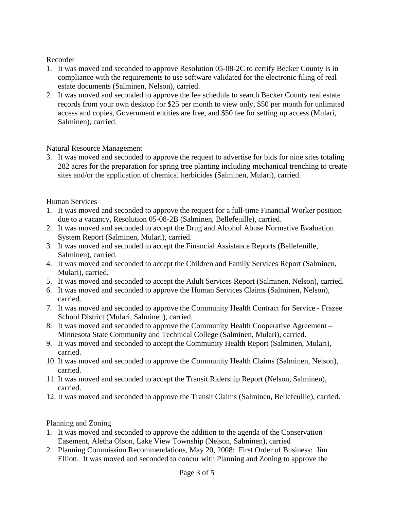### Recorder

- 1. It was moved and seconded to approve Resolution 05-08-2C to certify Becker County is in compliance with the requirements to use software validated for the electronic filing of real estate documents (Salminen, Nelson), carried.
- 2. It was moved and seconded to approve the fee schedule to search Becker County real estate records from your own desktop for \$25 per month to view only, \$50 per month for unlimited access and copies, Government entities are free, and \$50 fee for setting up access (Mulari, Salminen), carried.

# Natural Resource Management

3. It was moved and seconded to approve the request to advertise for bids for nine sites totaling 282 acres for the preparation for spring tree planting including mechanical trenching to create sites and/or the application of chemical herbicides (Salminen, Mulari), carried.

# Human Services

- 1. It was moved and seconded to approve the request for a full-time Financial Worker position due to a vacancy, Resolution 05-08-2B (Salminen, Bellefeuille), carried.
- 2. It was moved and seconded to accept the Drug and Alcohol Abuse Normative Evaluation System Report (Salminen, Mulari), carried.
- 3. It was moved and seconded to accept the Financial Assistance Reports (Bellefeuille, Salminen), carried.
- 4. It was moved and seconded to accept the Children and Family Services Report (Salminen, Mulari), carried.
- 5. It was moved and seconded to accept the Adult Services Report (Salminen, Nelson), carried.
- 6. It was moved and seconded to approve the Human Services Claims (Salminen, Nelson), carried.
- 7. It was moved and seconded to approve the Community Health Contract for Service Frazee School District (Mulari, Salminen), carried.
- 8. It was moved and seconded to approve the Community Health Cooperative Agreement Minnesota State Community and Technical College (Salminen, Mulari), carried.
- 9. It was moved and seconded to accept the Community Health Report (Salminen, Mulari), carried.
- 10. It was moved and seconded to approve the Community Health Claims (Salminen, Nelson), carried.
- 11. It was moved and seconded to accept the Transit Ridership Report (Nelson, Salminen), carried.
- 12. It was moved and seconded to approve the Transit Claims (Salminen, Bellefeuille), carried.

# Planning and Zoning

- 1. It was moved and seconded to approve the addition to the agenda of the Conservation Easement, Aletha Olson, Lake View Township (Nelson, Salminen), carried
- 2. Planning Commission Recommendations, May 20, 2008: First Order of Business: Jim Elliott. It was moved and seconded to concur with Planning and Zoning to approve the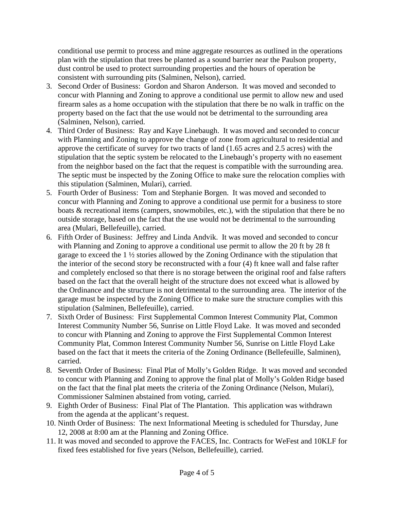conditional use permit to process and mine aggregate resources as outlined in the operations plan with the stipulation that trees be planted as a sound barrier near the Paulson property, dust control be used to protect surrounding properties and the hours of operation be consistent with surrounding pits (Salminen, Nelson), carried.

- 3. Second Order of Business: Gordon and Sharon Anderson. It was moved and seconded to concur with Planning and Zoning to approve a conditional use permit to allow new and used firearm sales as a home occupation with the stipulation that there be no walk in traffic on the property based on the fact that the use would not be detrimental to the surrounding area (Salminen, Nelson), carried.
- 4. Third Order of Business: Ray and Kaye Linebaugh. It was moved and seconded to concur with Planning and Zoning to approve the change of zone from agricultural to residential and approve the certificate of survey for two tracts of land (1.65 acres and 2.5 acres) with the stipulation that the septic system be relocated to the Linebaugh's property with no easement from the neighbor based on the fact that the request is compatible with the surrounding area. The septic must be inspected by the Zoning Office to make sure the relocation complies with this stipulation (Salminen, Mulari), carried.
- 5. Fourth Order of Business: Tom and Stephanie Borgen. It was moved and seconded to concur with Planning and Zoning to approve a conditional use permit for a business to store boats & recreational items (campers, snowmobiles, etc.), with the stipulation that there be no outside storage, based on the fact that the use would not be detrimental to the surrounding area (Mulari, Bellefeuille), carried.
- 6. Fifth Order of Business: Jeffrey and Linda Andvik. It was moved and seconded to concur with Planning and Zoning to approve a conditional use permit to allow the 20 ft by 28 ft garage to exceed the 1 ½ stories allowed by the Zoning Ordinance with the stipulation that the interior of the second story be reconstructed with a four (4) ft knee wall and false rafter and completely enclosed so that there is no storage between the original roof and false rafters based on the fact that the overall height of the structure does not exceed what is allowed by the Ordinance and the structure is not detrimental to the surrounding area. The interior of the garage must be inspected by the Zoning Office to make sure the structure complies with this stipulation (Salminen, Bellefeuille), carried.
- 7. Sixth Order of Business: First Supplemental Common Interest Community Plat, Common Interest Community Number 56, Sunrise on Little Floyd Lake. It was moved and seconded to concur with Planning and Zoning to approve the First Supplemental Common Interest Community Plat, Common Interest Community Number 56, Sunrise on Little Floyd Lake based on the fact that it meets the criteria of the Zoning Ordinance (Bellefeuille, Salminen), carried.
- 8. Seventh Order of Business: Final Plat of Molly's Golden Ridge. It was moved and seconded to concur with Planning and Zoning to approve the final plat of Molly's Golden Ridge based on the fact that the final plat meets the criteria of the Zoning Ordinance (Nelson, Mulari), Commissioner Salminen abstained from voting, carried.
- 9. Eighth Order of Business: Final Plat of The Plantation. This application was withdrawn from the agenda at the applicant's request.
- 10. Ninth Order of Business: The next Informational Meeting is scheduled for Thursday, June 12, 2008 at 8:00 am at the Planning and Zoning Office.
- 11. It was moved and seconded to approve the FACES, Inc. Contracts for WeFest and 10KLF for fixed fees established for five years (Nelson, Bellefeuille), carried.